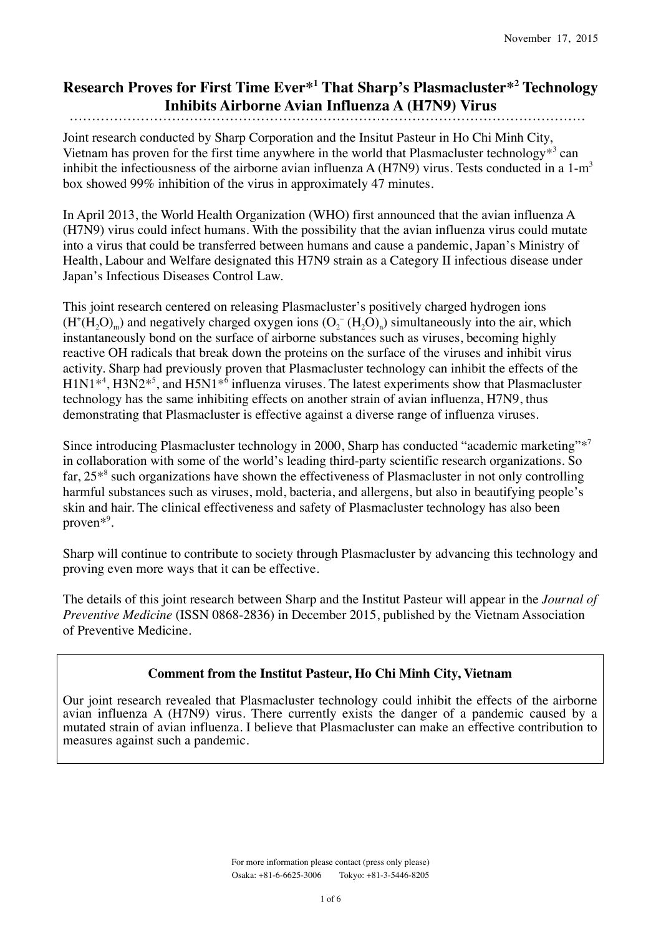# **Research Proves for First Time Ever\*1 That Sharp's Plasmacluster\*2 Technology Inhibits Airborne Avian Influenza A (H7N9) Virus**

Joint research conducted by Sharp Corporation and the Insitut Pasteur in Ho Chi Minh City, Vietnam has proven for the first time anywhere in the world that Plasmacluster technology<sup>\*3</sup> can inhibit the infectiousness of the airborne avian influenza A (H7N9) virus. Tests conducted in a  $1-m<sup>3</sup>$ box showed 99% inhibition of the virus in approximately 47 minutes.

In April 2013, the World Health Organization (WHO) first announced that the avian influenza A (H7N9) virus could infect humans. With the possibility that the avian influenza virus could mutate into a virus that could be transferred between humans and cause a pandemic, Japan's Ministry of Health, Labour and Welfare designated this H7N9 strain as a Category II infectious disease under Japan's Infectious Diseases Control Law.

This joint research centered on releasing Plasmacluster's positively charged hydrogen ions  $(H^*(H_2O)_m)$  and negatively charged oxygen ions  $(O_2^-(H_2O)_n)$  simultaneously into the air, which instantaneously bond on the surface of airborne substances such as viruses, becoming highly reactive OH radicals that break down the proteins on the surface of the viruses and inhibit virus activity. Sharp had previously proven that Plasmacluster technology can inhibit the effects of the H1N1<sup>\*4</sup>, H3N2<sup>\*5</sup>, and H5N1<sup>\*6</sup> influenza viruses. The latest experiments show that Plasmacluster technology has the same inhibiting effects on another strain of avian influenza, H7N9, thus demonstrating that Plasmacluster is effective against a diverse range of influenza viruses.

Since introducing Plasmacluster technology in 2000, Sharp has conducted "academic marketing"\*<sup>7</sup> in collaboration with some of the world's leading third-party scientific research organizations. So far, 25<sup>\*8</sup> such organizations have shown the effectiveness of Plasmacluster in not only controlling harmful substances such as viruses, mold, bacteria, and allergens, but also in beautifying people's skin and hair. The clinical effectiveness and safety of Plasmacluster technology has also been proven\*9 .

Sharp will continue to contribute to society through Plasmacluster by advancing this technology and proving even more ways that it can be effective.

The details of this joint research between Sharp and the Institut Pasteur will appear in the *Journal of Preventive Medicine* (ISSN 0868-2836) in December 2015, published by the Vietnam Association of Preventive Medicine.

## **Comment from the Institut Pasteur, Ho Chi Minh City, Vietnam**

Our joint research revealed that Plasmacluster technology could inhibit the effects of the airborne avian influenza A (H7N9) virus. There currently exists the danger of a pandemic caused by a mutated strain of avian influenza. I believe that Plasmacluster can make an effective contribution to measures against such a pandemic.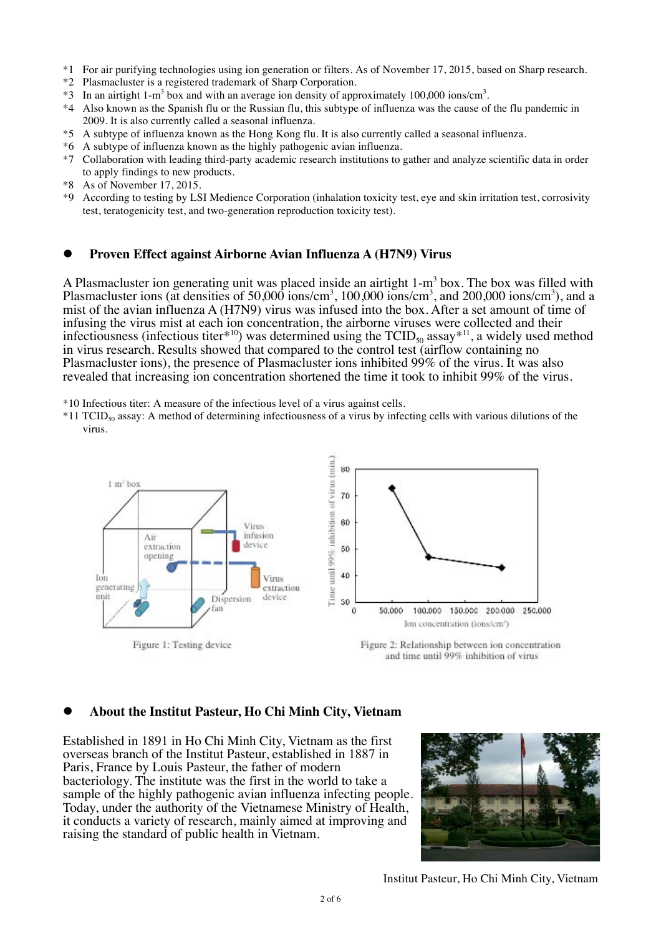- \*1 For air purifying technologies using ion generation or filters. As of November 17, 2015, based on Sharp research.
- \*2 Plasmacluster is a registered trademark of Sharp Corporation.
- $*3$  In an airtight 1-m<sup>3</sup> box and with an average ion density of approximately 100,000 ions/cm<sup>3</sup>.
- \*4 Also known as the Spanish flu or the Russian flu, this subtype of influenza was the cause of the flu pandemic in 2009. It is also currently called a seasonal influenza.
- \*5 A subtype of influenza known as the Hong Kong flu. It is also currently called a seasonal influenza.
- \*6 A subtype of influenza known as the highly pathogenic avian influenza.
- \*7 Collaboration with leading third-party academic research institutions to gather and analyze scientific data in order to apply findings to new products.
- \*8 As of November 17, 2015.
- \*9 According to testing by LSI Medience Corporation (inhalation toxicity test, eye and skin irritation test, corrosivity test, teratogenicity test, and two-generation reproduction toxicity test).

#### **Proven Effect against Airborne Avian Influenza A (H7N9) Virus**

A Plasmacluster ion generating unit was placed inside an airtight  $1-m<sup>3</sup>$  box. The box was filled with Plasmacluster ions (at densities of 50,000 ions/cm<sup>3</sup>, 100,000 ions/cm<sup>3</sup>, and 200,000 ions/cm<sup>3</sup>), and a mist of the avian influenza A (H7N9) virus was infused into the box. After a set amount of time of infusing the virus mist at each ion concentration, the airborne viruses were collected and their infectiousness (infectious titer<sup>\*10</sup>) was determined using the  $TCID_{50}$  assay<sup>\*11</sup>, a widely used method in virus research. Results showed that compared to the control test (airflow containing no Plasmacluster ions), the presence of Plasmacluster ions inhibited 99% of the virus. It was also revealed that increasing ion concentration shortened the time it took to inhibit 99% of the virus.

\*10 Infectious titer: A measure of the infectious level of a virus against cells.

 $*11$  TCID<sub>50</sub> assay: A method of determining infectiousness of a virus by infecting cells with various dilutions of the virus.



#### **About the Institut Pasteur, Ho Chi Minh City, Vietnam**

Established in 1891 in Ho Chi Minh City, Vietnam as the first overseas branch of the Institut Pasteur, established in 1887 in Paris, France by Louis Pasteur, the father of modern bacteriology. The institute was the first in the world to take a sample of the highly pathogenic avian influenza infecting people. Today, under the authority of the Vietnamese Ministry of Health, it conducts a variety of research, mainly aimed at improving and raising the standard of public health in Vietnam.



Institut Pasteur, Ho Chi Minh City, Vietnam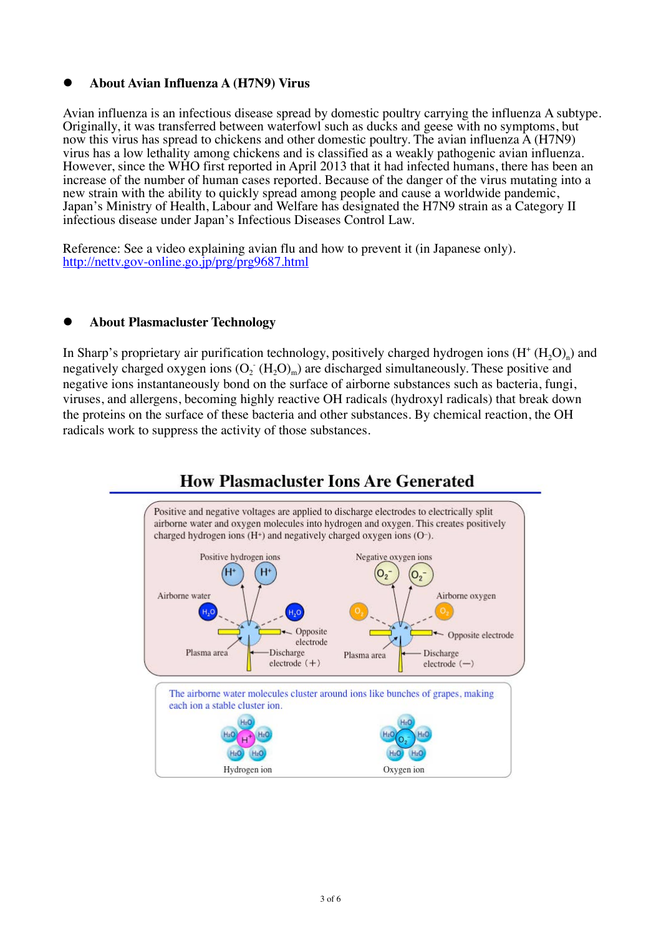### **About Avian Influenza A (H7N9) Virus**

Avian influenza is an infectious disease spread by domestic poultry carrying the influenza A subtype. Originally, it was transferred between waterfowl such as ducks and geese with no symptoms, but now this virus has spread to chickens and other domestic poultry. The avian influenza A (H7N9) virus has a low lethality among chickens and is classified as a weakly pathogenic avian influenza. However, since the WHO first reported in April 2013 that it had infected humans, there has been an increase of the number of human cases reported. Because of the danger of the virus mutating into a new strain with the ability to quickly spread among people and cause a worldwide pandemic, Japan's Ministry of Health, Labour and Welfare has designated the H7N9 strain as a Category II infectious disease under Japan's Infectious Diseases Control Law.

Reference: See a video explaining avian flu and how to prevent it (in Japanese only). http://nettv.gov-online.go.jp/prg/prg9687.html

### **About Plasmacluster Technology**

In Sharp's proprietary air purification technology, positively charged hydrogen ions  $(H^+(H_2O)_n)$  and negatively charged oxygen ions  $(O_2^-(H_2O)_m)$  are discharged simultaneously. These positive and negative ions instantaneously bond on the surface of airborne substances such as bacteria, fungi, viruses, and allergens, becoming highly reactive OH radicals (hydroxyl radicals) that break down the proteins on the surface of these bacteria and other substances. By chemical reaction, the OH radicals work to suppress the activity of those substances.

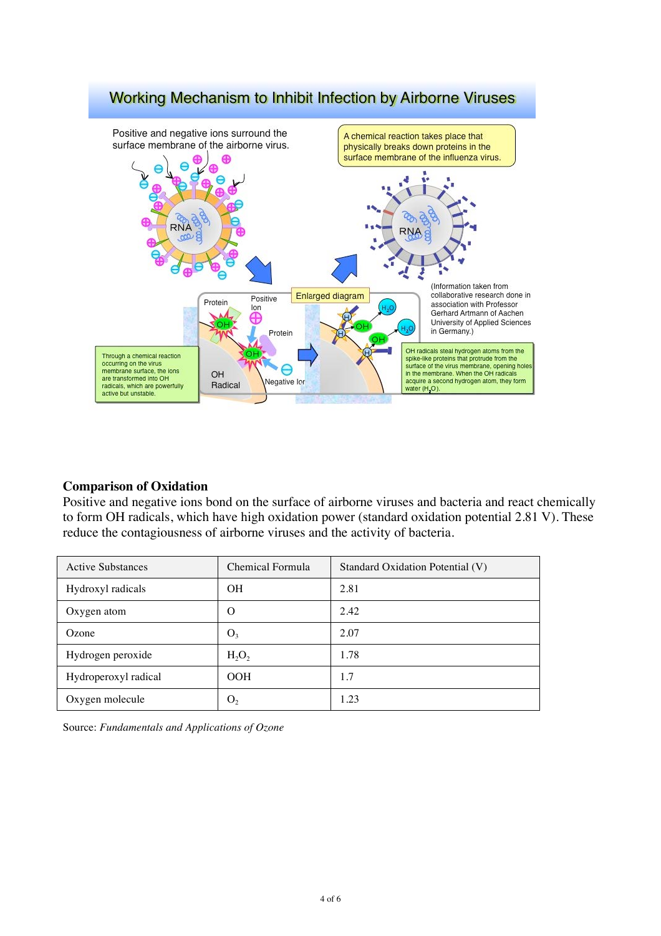

# Working Mechanism to Inhibit Infection by Airborne Viruses

## **Comparison of Oxidation**

Positive and negative ions bond on the surface of airborne viruses and bacteria and react chemically to form OH radicals, which have high oxidation power (standard oxidation potential 2.81 V). These reduce the contagiousness of airborne viruses and the activity of bacteria.

| <b>Active Substances</b> | Chemical Formula | Standard Oxidation Potential (V) |
|--------------------------|------------------|----------------------------------|
| Hydroxyl radicals        | OН               | 2.81                             |
| Oxygen atom              | $\Omega$         | 2.42                             |
| Ozone                    | O <sub>3</sub>   | 2.07                             |
| Hydrogen peroxide        | $H_2O_2$         | 1.78                             |
| Hydroperoxyl radical     | OOH              | 1.7                              |
| Oxygen molecule          | $\mathbf{U}_{2}$ | 1.23                             |

Source: *Fundamentals and Applications of Ozone*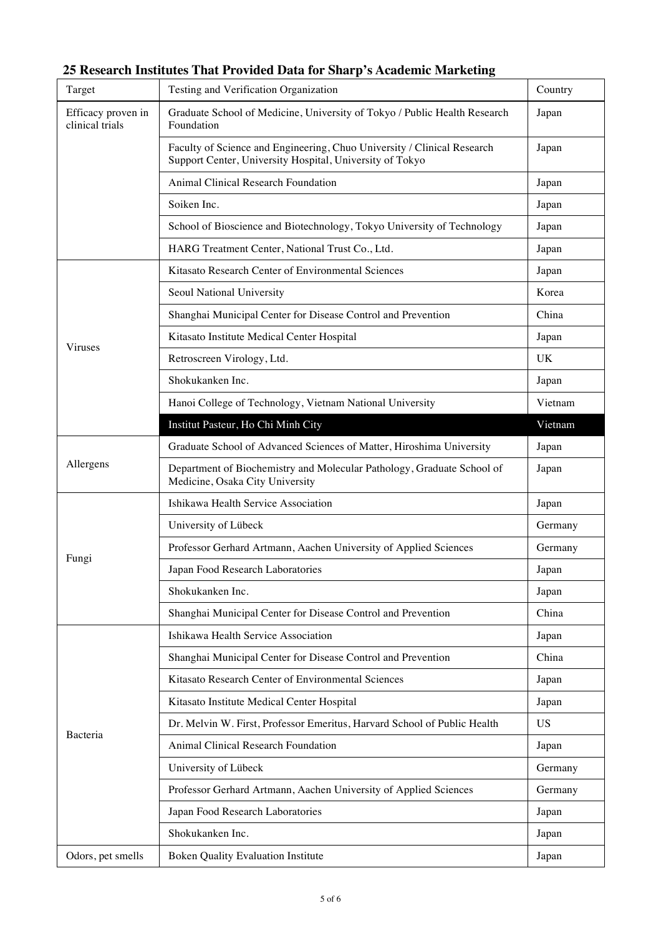| 25 Research Institutes That Provided Data for Sharp's Academic Marketing |  |
|--------------------------------------------------------------------------|--|
|--------------------------------------------------------------------------|--|

÷,

| Target                                | Testing and Verification Organization                                                                                               | Country   |
|---------------------------------------|-------------------------------------------------------------------------------------------------------------------------------------|-----------|
| Efficacy proven in<br>clinical trials | Graduate School of Medicine, University of Tokyo / Public Health Research<br>Foundation                                             |           |
|                                       | Faculty of Science and Engineering, Chuo University / Clinical Research<br>Support Center, University Hospital, University of Tokyo | Japan     |
|                                       | Animal Clinical Research Foundation                                                                                                 | Japan     |
|                                       | Soiken Inc.                                                                                                                         | Japan     |
|                                       | School of Bioscience and Biotechnology, Tokyo University of Technology                                                              | Japan     |
|                                       | HARG Treatment Center, National Trust Co., Ltd.                                                                                     | Japan     |
|                                       | Kitasato Research Center of Environmental Sciences                                                                                  | Japan     |
|                                       | Seoul National University                                                                                                           | Korea     |
|                                       | Shanghai Municipal Center for Disease Control and Prevention                                                                        | China     |
|                                       | Kitasato Institute Medical Center Hospital                                                                                          | Japan     |
| <b>Viruses</b>                        | Retroscreen Virology, Ltd.                                                                                                          | <b>UK</b> |
|                                       | Shokukanken Inc.                                                                                                                    | Japan     |
|                                       | Hanoi College of Technology, Vietnam National University                                                                            | Vietnam   |
|                                       | Institut Pasteur, Ho Chi Minh City                                                                                                  | Vietnam   |
| Allergens                             | Graduate School of Advanced Sciences of Matter, Hiroshima University                                                                | Japan     |
|                                       | Department of Biochemistry and Molecular Pathology, Graduate School of<br>Medicine, Osaka City University                           | Japan     |
|                                       | Ishikawa Health Service Association                                                                                                 | Japan     |
|                                       | University of Lübeck                                                                                                                | Germany   |
|                                       | Professor Gerhard Artmann, Aachen University of Applied Sciences                                                                    | Germany   |
| Fungi                                 | Japan Food Research Laboratories                                                                                                    | Japan     |
|                                       | Shokukanken Inc.                                                                                                                    | Japan     |
|                                       | Shanghai Municipal Center for Disease Control and Prevention                                                                        | China     |
| Bacteria                              | Ishikawa Health Service Association                                                                                                 | Japan     |
|                                       | Shanghai Municipal Center for Disease Control and Prevention                                                                        | China     |
|                                       | Kitasato Research Center of Environmental Sciences                                                                                  | Japan     |
|                                       | Kitasato Institute Medical Center Hospital                                                                                          | Japan     |
|                                       | Dr. Melvin W. First, Professor Emeritus, Harvard School of Public Health                                                            | <b>US</b> |
|                                       | Animal Clinical Research Foundation                                                                                                 | Japan     |
|                                       |                                                                                                                                     |           |
|                                       | University of Lübeck                                                                                                                | Germany   |
|                                       | Professor Gerhard Artmann, Aachen University of Applied Sciences                                                                    | Germany   |
|                                       | Japan Food Research Laboratories                                                                                                    | Japan     |
|                                       | Shokukanken Inc.                                                                                                                    | Japan     |